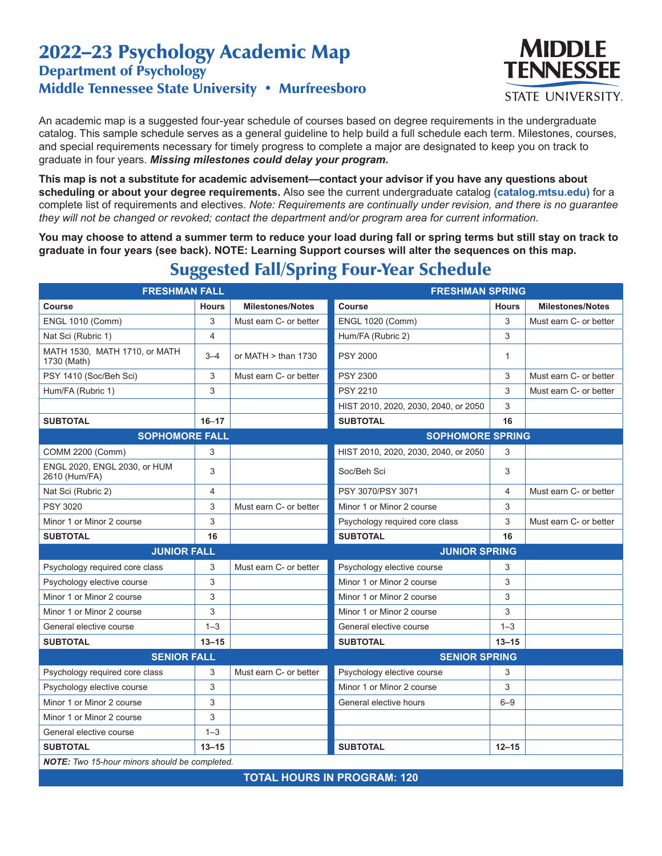## 2022–23 Psychology Academic Map Department of Psychology Middle Tennessee State University • Murfreesboro



An academic map is a suggested four-year schedule of courses based on degree requirements in the undergraduate catalog. This sample schedule serves as a general guideline to help build a full schedule each term. Milestones, courses, and special requirements necessary for timely progress to complete a major are designated to keep you on track to graduate in four years. *Missing milestones could delay your program.*

**This map is not a substitute for academic advisement—contact your advisor if you have any questions about scheduling or about your degree requirements.** Also see the current undergraduate catalog **(catalog.mtsu.edu)** for a complete list of requirements and electives. *Note: Requirements are continually under revision, and there is no guarantee they will not be changed or revoked; contact the department and/or program area for current information.*

**You may choose to attend a summer term to reduce your load during fall or spring terms but still stay on track to graduate in four years (see back). NOTE: Learning Support courses will alter the sequences on this map.**

| <b>FRESHMAN FALL</b>                                 |                |                         | <b>FRESHMAN SPRING</b>               |                |                         |  |  |
|------------------------------------------------------|----------------|-------------------------|--------------------------------------|----------------|-------------------------|--|--|
| Course                                               | <b>Hours</b>   | <b>Milestones/Notes</b> | <b>Course</b>                        | <b>Hours</b>   | <b>Milestones/Notes</b> |  |  |
| <b>ENGL 1010 (Comm)</b>                              | 3              | Must earn C- or better  | <b>ENGL 1020 (Comm)</b>              | 3              | Must earn C- or better  |  |  |
| Nat Sci (Rubric 1)                                   | $\overline{4}$ |                         | Hum/FA (Rubric 2)                    | 3              |                         |  |  |
| MATH 1530, MATH 1710, or MATH<br>1730 (Math)         | $3 - 4$        | or MATH $>$ than 1730   | <b>PSY 2000</b>                      | $\mathbf{1}$   |                         |  |  |
| PSY 1410 (Soc/Beh Sci)                               | 3              | Must earn C- or better  | <b>PSY 2300</b>                      | 3              | Must earn C- or better  |  |  |
| Hum/FA (Rubric 1)                                    | 3              |                         | <b>PSY 2210</b>                      | 3              | Must earn C- or better  |  |  |
|                                                      |                |                         | HIST 2010, 2020, 2030, 2040, or 2050 | 3              |                         |  |  |
| <b>SUBTOTAL</b>                                      | $16 - 17$      |                         | <b>SUBTOTAL</b>                      | 16             |                         |  |  |
| <b>SOPHOMORE FALL</b>                                |                |                         | <b>SOPHOMORE SPRING</b>              |                |                         |  |  |
| <b>COMM 2200 (Comm)</b>                              | 3              |                         | HIST 2010, 2020, 2030, 2040, or 2050 | 3              |                         |  |  |
| ENGL 2020, ENGL 2030, or HUM<br>2610 (Hum/FA)        | 3              |                         | Soc/Beh Sci                          | 3              |                         |  |  |
| Nat Sci (Rubric 2)                                   | 4              |                         | PSY 3070/PSY 3071                    | $\overline{4}$ | Must earn C- or better  |  |  |
| <b>PSY 3020</b>                                      | 3              | Must earn C- or better  | Minor 1 or Minor 2 course            | 3              |                         |  |  |
| Minor 1 or Minor 2 course                            | 3              |                         | Psychology required core class       | 3              | Must earn C- or better  |  |  |
| <b>SUBTOTAL</b>                                      | 16             |                         | <b>SUBTOTAL</b>                      | 16             |                         |  |  |
| <b>JUNIOR FALL</b>                                   |                | <b>JUNIOR SPRING</b>    |                                      |                |                         |  |  |
| Psychology required core class                       | 3              | Must earn C- or better  | Psychology elective course           | 3              |                         |  |  |
| Psychology elective course                           | 3              |                         | Minor 1 or Minor 2 course            | 3              |                         |  |  |
| Minor 1 or Minor 2 course                            | 3              |                         | Minor 1 or Minor 2 course            | 3              |                         |  |  |
| Minor 1 or Minor 2 course                            | 3              |                         | Minor 1 or Minor 2 course            | 3              |                         |  |  |
| General elective course                              | $1 - 3$        |                         | General elective course              | $1 - 3$        |                         |  |  |
| <b>SUBTOTAL</b>                                      | $13 - 15$      |                         | <b>SUBTOTAL</b>                      | $13 - 15$      |                         |  |  |
| <b>SENIOR FALL</b>                                   |                |                         | <b>SENIOR SPRING</b>                 |                |                         |  |  |
| Psychology required core class                       | 3              | Must earn C- or better  | Psychology elective course           | 3              |                         |  |  |
| Psychology elective course                           | 3              |                         | Minor 1 or Minor 2 course            | 3              |                         |  |  |
| Minor 1 or Minor 2 course                            | 3              |                         | General elective hours               | $6 - 9$        |                         |  |  |
| Minor 1 or Minor 2 course                            | 3              |                         |                                      |                |                         |  |  |
| General elective course                              | $1 - 3$        |                         |                                      |                |                         |  |  |
| <b>SUBTOTAL</b>                                      | $13 - 15$      |                         | <b>SUBTOTAL</b>                      | $12 - 15$      |                         |  |  |
| <b>NOTE:</b> Two 15-hour minors should be completed. |                |                         |                                      |                |                         |  |  |

## Suggested Fall/Spring Four-Year Schedule

**TOTAL HOURS IN PROGRAM: 120**